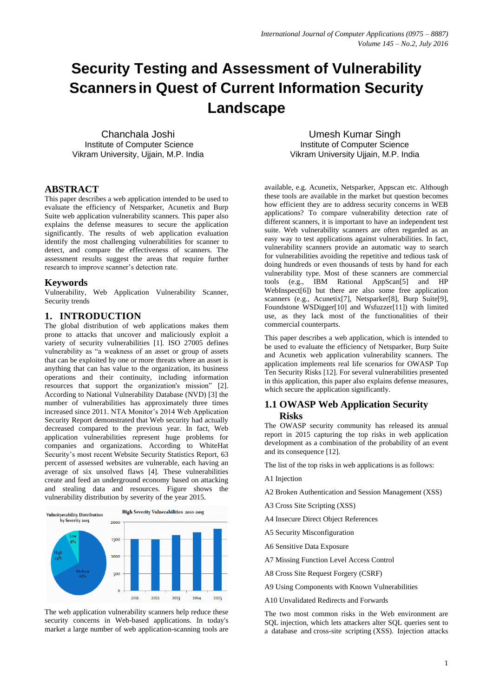# **Security Testing and Assessment of Vulnerability Scannersin Quest of Current Information Security Landscape**

Chanchala Joshi Institute of Computer Science Vikram University, Ujjain, M.P. India

Umesh Kumar Singh Institute of Computer Science Vikram University Ujjain, M.P. India

# **ABSTRACT**

This paper describes a web application intended to be used to evaluate the efficiency of Netsparker, Acunetix and Burp Suite web application vulnerability scanners. This paper also explains the defense measures to secure the application significantly. The results of web application evaluation identify the most challenging vulnerabilities for scanner to detect, and compare the effectiveness of scanners. The assessment results suggest the areas that require further research to improve scanner's detection rate.

### **Keywords**

Vulnerability, Web Application Vulnerability Scanner, Security trends

# **1. INTRODUCTION**

The global distribution of web applications makes them prone to attacks that uncover and maliciously exploit a variety of security vulnerabilities [1]. ISO 27005 defines vulnerability as "a weakness of an asset or group of assets that can be exploited by one or more threats where an asset is anything that can has value to the organization, its business operations and their continuity, including information resources that support the organization's mission" [2]. According to National Vulnerability Database (NVD) [3] the number of vulnerabilities has approximately three times increased since 2011. NTA Monitor's 2014 Web Application Security Report demonstrated that Web security had actually decreased compared to the previous year. In fact, Web application vulnerabilities represent huge problems for companies and organizations. According to WhiteHat [Security](http://www.nta-monitor.com/)'s most recent Website Security Statistics Report, 63 percent of assessed websites are vulnerable, each having an average of six unsolved flaws [4]. These vulnerabilities create and feed an underground economy based on attacking and stealing data and resources. Figure shows the vulnerability distribution by severity of the year 2015.



The web application vulnerability scanners help reduce these security concerns in Web-based applications. In today's market a large number of web application-scanning tools are available, e.g. Acunetix, Netsparker, Appscan etc. Although these tools are available in the market but question becomes how efficient they are to address security concerns in WEB applications? To compare vulnerability detection rate of different scanners, it is important to have an independent test suite. Web vulnerability scanners are often regarded as an easy way to test applications against vulnerabilities. In fact, vulnerability scanners provide an automatic way to search for vulnerabilities avoiding the repetitive and tedious task of doing hundreds or even thousands of tests by hand for each vulnerability type. Most of these scanners are commercial tools (e.g., IBM Rational AppScan[5] and HP WebInspect[6]) but there are also some free application scanners (e.g., Acunetix[7], Netsparker[8], Burp Suite[9], Foundstone WSDigger[10] and Wsfuzzer[11]) with limited use, as they lack most of the functionalities of their commercial counterparts.

This paper describes a web application, which is intended to be used to evaluate the efficiency of Netsparker, Burp Suite and Acunetix web application vulnerability scanners. The application implements real life scenarios for OWASP Top Ten Security Risks [12]. For several vulnerabilities presented in this application, this paper also explains defense measures, which secure the application significantly.

# **1.1 OWASP Web Application Security Risks**

The OWASP security community has released its annual report in 2015 capturing the top risks in web application development as a combination of the probability of an event and its consequence [12].

The list of the top risks in web applications is as follows:

- A1 Injection
- A2 Broken Authentication and Session Management (XSS)
- A3 Cross Site Scripting (XSS)
- A4 Insecure Direct Object References
- A5 Security Misconfiguration
- A6 Sensitive Data Exposure
- A7 Missing Function Level Access Control
- A8 Cross Site Request Forgery (CSRF)
- A9 Using Components with Known Vulnerabilities
- A10 Unvalidated Redirects and Forwards

The two most common risks in the Web environment are SQL injection, which lets attackers alter SQL queries sent to a database and cross-site scripting (XSS). Injection attacks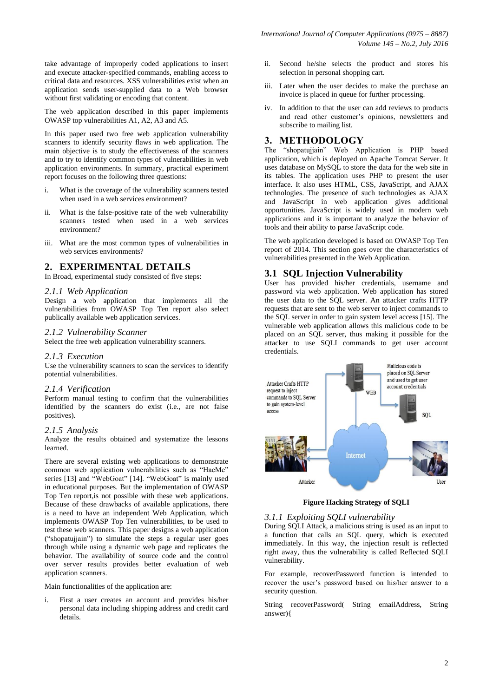take advantage of improperly coded applications to insert and execute attacker-specified commands, enabling access to critical data and resources. XSS vulnerabilities exist when an application sends user-supplied data to a Web browser without first validating or encoding that content.

The web application described in this paper implements OWASP top vulnerabilities A1, A2, A3 and A5.

In this paper used two free web application vulnerability scanners to identify security flaws in web application. The main objective is to study the effectiveness of the scanners and to try to identify common types of vulnerabilities in web application environments. In summary, practical experiment report focuses on the following three questions:

- i. What is the coverage of the vulnerability scanners tested when used in a web services environment?
- ii. What is the false-positive rate of the web vulnerability scanners tested when used in a web services environment?
- iii. What are the most common types of vulnerabilities in web services environments?

## **2. EXPERIMENTAL DETAILS**

In Broad, experimental study consisted of five steps:

#### *2.1.1 Web Application*

Design a web application that implements all the vulnerabilities from OWASP Top Ten report also select publically available web application services.

#### *2.1.2 Vulnerability Scanner*

Select the free web application vulnerability scanners.

#### *2.1.3 Execution*

Use the vulnerability scanners to scan the services to identify potential vulnerabilities.

#### *2.1.4 Verification*

Perform manual testing to confirm that the vulnerabilities identified by the scanners do exist (i.e., are not false positives).

#### *2.1.5 Analysis*

Analyze the results obtained and systematize the lessons learned.

There are several existing web applications to demonstrate common web application vulnerabilities such as "HacMe" series [13] and "WebGoat" [14]. "WebGoat" is mainly used in educational purposes. But the implementation of OWASP Top Ten report,is not possible with these web applications. Because of these drawbacks of available applications, there is a need to have an independent Web Application, which implements OWASP Top Ten vulnerabilities, to be used to test these web scanners. This paper designs a web application ("shopatujjain") to simulate the steps a regular user goes through while using a dynamic web page and replicates the behavior. The availability of source code and the control over server results provides better evaluation of web application scanners.

Main functionalities of the application are:

i. First a user creates an account and provides his/her personal data including shipping address and credit card details.

- ii. Second he/she selects the product and stores his selection in personal shopping cart.
- iii. Later when the user decides to make the purchase an invoice is placed in queue for further processing.
- iv. In addition to that the user can add reviews to products and read other customer"s opinions, newsletters and subscribe to mailing list.

# **3. METHODOLOGY**

The "shopatujjain" Web Application is PHP based application, which is deployed on Apache Tomcat Server. It uses database on MySQL to store the data for the web site in its tables. The application uses PHP to present the user interface. It also uses HTML, CSS, JavaScript, and AJAX technologies. The presence of such technologies as AJAX and JavaScript in web application gives additional opportunities. JavaScript is widely used in modern web applications and it is important to analyze the behavior of tools and their ability to parse JavaScript code.

The web application developed is based on OWASP Top Ten report of 2014. This section goes over the characteristics of vulnerabilities presented in the Web Application.

# **3.1 SQL Injection Vulnerability**

User has provided his/her credentials, username and password via web application. Web application has stored the user data to the SQL server. An attacker crafts HTTP requests that are sent to the web server to inject commands to the SQL server in order to gain system level access [15]. The vulnerable web application allows this malicious code to be placed on an SQL server, thus making it possible for the attacker to use SQLI commands to get user account credentials.



**Figure Hacking Strategy of SQLI**

#### *3.1.1 Exploiting SQLI vulnerability*

During SQLI Attack, a malicious string is used as an input to a function that calls an SQL query, which is executed immediately. In this way, the injection result is reflected right away, thus the vulnerability is called Reflected SQLI vulnerability.

For example, recoverPassword function is intended to recover the user"s password based on his/her answer to a security question.

String recoverPassword( String emailAddress, String answer){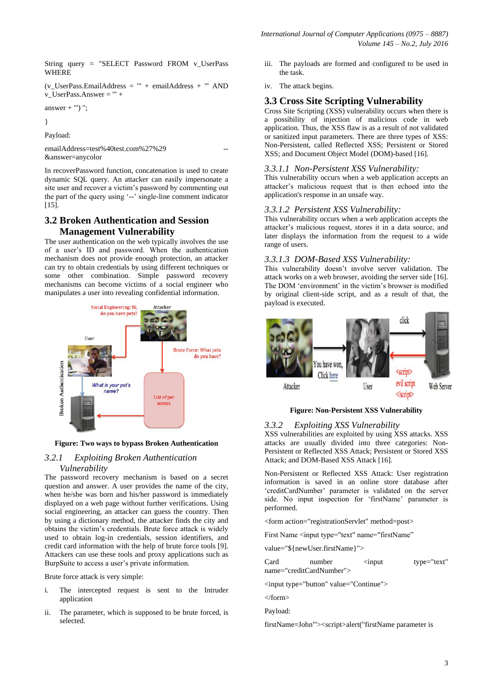String query = "SELECT Password FROM v\_UserPass WHERE

(v\_UserPass.EmailAddress = '" + emailAddress + "' AND v\_UserPass.Answer = '" +

answer  $+$  "') ";

}

Payload:

emailAddress=test%40test.com%27%29 &answer=anycolor

In recoverPassword function, concatenation is used to create dynamic SQL query. An attacker can easily impersonate a site user and recover a victim"s password by commenting out the part of the query using "--" single-line comment indicator [15].

# **3.2 Broken Authentication and Session Management Vulnerability**

The user authentication on the web typically involves the use of a user"s ID and password. When the authentication mechanism does not provide enough protection, an attacker can try to obtain credentials by using different techniques or some other combination. Simple password recovery mechanisms can become victims of a social engineer who manipulates a user into revealing confidential information.



**Figure: Two ways to bypass Broken Authentication**

## *3.2.1 Exploiting Broken Authentication Vulnerability*

The password recovery mechanism is based on a secret question and answer. A user provides the name of the city, when he/she was born and his/her password is immediately displayed on a web page without further verifications. Using social engineering, an attacker can guess the country. Then by using a dictionary method, the attacker finds the city and obtains the victim"s credentials. Brute force attack is widely used to obtain log-in credentials, session identifiers, and credit card information with the help of brute force tools [9]. Attackers can use these tools and proxy applications such as BurpSuite to access a user's private information.

Brute force attack is very simple:

- i. The intercepted request is sent to the Intruder application
- ii. The parameter, which is supposed to be brute forced, is selected.
- iii. The payloads are formed and configured to be used in the task.
- iv. The attack begins.

## **3.3 Cross Site Scripting Vulnerability**

Cross Site Scripting (XSS) vulnerability occurs when there is a possibility of injection of malicious code in web application. Thus, the XSS flaw is as a result of not validated or sanitized input parameters. There are three types of XSS: Non-Persistent, called Reflected XSS; Persistent or Stored XSS; and Document Object Model (DOM)-based [16].

#### *3.3.1.1 Non-Persistent XSS Vulnerability:*

This vulnerability occurs when a web application accepts an attacker"s malicious request that is then echoed into the application's response in an unsafe way.

#### *3.3.1.2 Persistent XSS Vulnerability:*

This vulnerability occurs when a web application accepts the attacker"s malicious request, stores it in a data source, and later displays the information from the request to a wide range of users.

#### *3.3.1.3 DOM-Based XSS Vulnerability:*

This vulnerability doesn"t involve server validation. The attack works on a web browser, avoiding the server side [16]. The DOM 'environment' in the victim's browser is modified by original client-side script, and as a result of that, the payload is executed.



#### **Figure: Non-Persistent XSS Vulnerability**

#### *3.3.2 Exploiting XSS Vulnerability*

XSS vulnerabilities are exploited by using XSS attacks. XSS attacks are usually divided into three categories: Non-Persistent or Reflected XSS Attack; Persistent or Stored XSS Attack; and DOM-Based XSS Attack [16].

Non-Persistent or Reflected XSS Attack: User registration information is saved in an online store database after "creditCardNumber" parameter is validated on the server side. No input inspection for 'firstName' parameter is performed.

<form action="registrationServlet" method=post>

First Name <input type="text" name="firstName"

value="\${newUser.firstName}">

Card number  $\le$ input type="text" name="creditCardNumber">

<input type="button" value="Continue">

</form>

Payload:

firstName=John"'><script>alert("firstName parameter is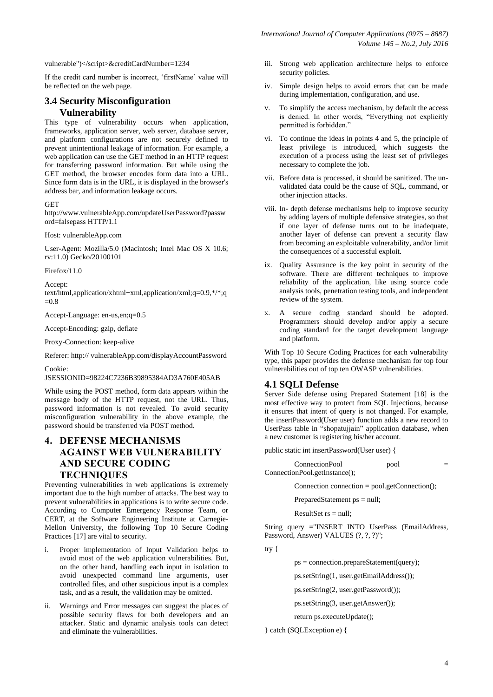vulnerable")</script>&creditCardNumber=1234

If the credit card number is incorrect, "firstName" value will be reflected on the web page.

# **3.4 Security Misconfiguration Vulnerability**

This type of vulnerability occurs when application, frameworks, application server, web server, database server, and platform configurations are not securely defined to prevent unintentional leakage of information. For example, a web application can use the GET method in an HTTP request for transferring password information. But while using the GET method, the browser encodes form data into a URL. Since form data is in the URL, it is displayed in the browser's address bar, and information leakage occurs.

#### **GET**

http://www.vulnerableApp.com/updateUserPassword?passw ord=falsepass HTTP/1.1

Host: vulnerableApp.com

User-Agent: Mozilla/5.0 (Macintosh; Intel Mac OS X 10.6; rv:11.0) Gecko/20100101

Firefox/11.0

Accept: text/html,application/xhtml+xml,application/xml;q=0.9,\*/\*;q  $=0.8$ 

Accept-Language: en-us,en;q=0.5

Accept-Encoding: gzip, deflate

Proxy-Connection: keep-alive

Referer: http:// vulnerableApp.com/displayAccountPassword

Cookie:

JSESSIONID=98224C7236B39895384AD3A760E405AB

While using the POST method, form data appears within the message body of the HTTP request, not the URL. Thus, password information is not revealed. To avoid security misconfiguration vulnerability in the above example, the password should be transferred via POST method.

# **4. DEFENSE MECHANISMS AGAINST WEB VULNERABILITY AND SECURE CODING TECHNIQUES**

Preventing vulnerabilities in web applications is extremely important due to the high number of attacks. The best way to prevent vulnerabilities in applications is to write secure code. According to Computer Emergency Response Team, or CERT, at the Software Engineering Institute at Carnegie-Mellon University, the following Top 10 Secure Coding Practices [17] are vital to security.

- i. Proper implementation of Input Validation helps to avoid most of the web application vulnerabilities. But, on the other hand, handling each input in isolation to avoid unexpected command line arguments, user controlled files, and other suspicious input is a complex task, and as a result, the validation may be omitted.
- ii. Warnings and Error messages can suggest the places of possible security flaws for both developers and an attacker. Static and dynamic analysis tools can detect and eliminate the vulnerabilities.
- iii. Strong web application architecture helps to enforce security policies.
- iv. Simple design helps to avoid errors that can be made during implementation, configuration, and use.
- v. To simplify the access mechanism, by default the access is denied. In other words, "Everything not explicitly permitted is forbidden."
- vi. To continue the ideas in points 4 and 5, the principle of least privilege is introduced, which suggests the execution of a process using the least set of privileges necessary to complete the job.
- vii. Before data is processed, it should be sanitized. The unvalidated data could be the cause of SQL, command, or other injection attacks.
- viii. In- depth defense mechanisms help to improve security by adding layers of multiple defensive strategies, so that if one layer of defense turns out to be inadequate, another layer of defense can prevent a security flaw from becoming an exploitable vulnerability, and/or limit the consequences of a successful exploit.
- ix. Quality Assurance is the key point in security of the software. There are different techniques to improve reliability of the application, like using source code analysis tools, penetration testing tools, and independent review of the system.
- x. A secure coding standard should be adopted. Programmers should develop and/or apply a secure coding standard for the target development language and platform.

With Top 10 Secure Coding Practices for each vulnerability type, this paper provides the defense mechanism for top four vulnerabilities out of top ten OWASP vulnerabilities.

#### **4.1 SQLI Defense**

Server Side defense using Prepared Statement [18] is the most effective way to protect from SQL Injections, because it ensures that intent of query is not changed. For example, the insertPassword(User user) function adds a new record to UserPass table in "shopatujjain" application database, when a new customer is registering his/her account.

public static int insertPassword(User user) {

ConnectionPool pool = ConnectionPool.getInstance();

Connection connection =  $pool.getConnection()$ ;

PreparedStatement ps = null;

ResultSet  $rs = null$ ;

String query ="INSERT INTO UserPass (EmailAddress, Password, Answer) VALUES (?, ?, ?)";

try {

 $ps = connection.prenareStatement(auery);$ 

ps.setString(1, user.getEmailAddress());

ps.setString(2, user.getPassword());

ps.setString(3, user.getAnswer());

return ps.executeUpdate();

} catch (SQLException e) {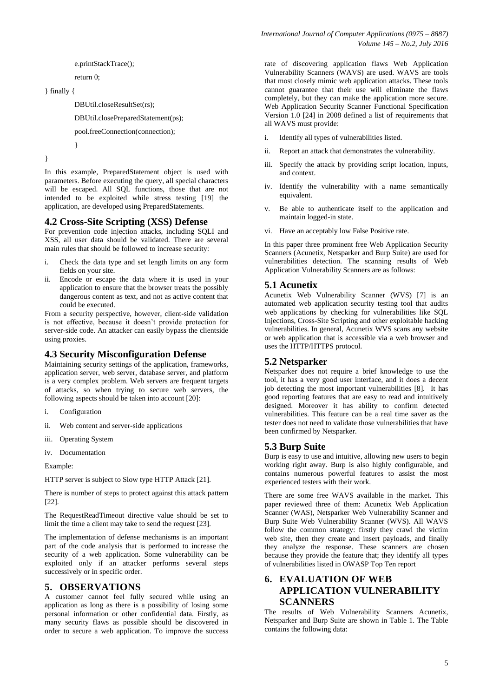```
e.printStackTrace();
```
return 0;

}

```
} finally {
```
DBUtil.closeResultSet(rs);

```
DBUtil.closePreparedStatement(ps);
```
pool.freeConnection(connection);

}

In this example, PreparedStatement object is used with parameters. Before executing the query, all special characters will be escaped. All SQL functions, those that are not intended to be exploited while stress testing [19] the application, are developed using PreparedStatements.

# **4.2 Cross-Site Scripting (XSS) Defense**

For prevention code injection attacks, including SQLI and XSS, all user data should be validated. There are several main rules that should be followed to increase security:

- i. Check the data type and set length limits on any form fields on your site.
- ii. Encode or escape the data where it is used in your application to ensure that the browser treats the possibly dangerous content as text, and not as active content that could be executed.

From a security perspective, however, client-side validation is not effective, because it doesn"t provide protection for server-side code. An attacker can easily bypass the clientside using proxies.

# **4.3 Security Misconfiguration Defense**

Maintaining security settings of the application, frameworks, application server, web server, database server, and platform is a very complex problem. Web servers are frequent targets of attacks, so when trying to secure web servers, the following aspects should be taken into account [20]:

- i. Configuration
- ii. Web content and server-side applications
- iii. Operating System
- iv. Documentation

Example:

HTTP server is subject to Slow type HTTP Attack [21].

There is number of steps to protect against this attack pattern [22].

The RequestReadTimeout directive value should be set to limit the time a client may take to send the request [23].

The implementation of defense mechanisms is an important part of the code analysis that is performed to increase the security of a web application. Some vulnerability can be exploited only if an attacker performs several steps successively or in specific order.

# **5. OBSERVATIONS**

A customer cannot feel fully secured while using an application as long as there is a possibility of losing some personal information or other confidential data. Firstly, as many security flaws as possible should be discovered in order to secure a web application. To improve the success rate of discovering application flaws Web Application Vulnerability Scanners (WAVS) are used. WAVS are tools that most closely mimic web application attacks. These tools cannot guarantee that their use will eliminate the flaws completely, but they can make the application more secure. Web Application Security Scanner Functional Specification Version 1.0 [24] in 2008 defined a list of requirements that all WAVS must provide:

- i. Identify all types of vulnerabilities listed.
- ii. Report an attack that demonstrates the vulnerability.
- iii. Specify the attack by providing script location, inputs, and context.
- iv. Identify the vulnerability with a name semantically equivalent.
- v. Be able to authenticate itself to the application and maintain logged-in state.
- vi. Have an acceptably low False Positive rate.

In this paper three prominent free Web Application Security Scanners (Acunetix, Netsparker and Burp Suite) are used for vulnerabilities detection. The scanning results of Web Application Vulnerability Scanners are as follows:

# **5.1 Acunetix**

Acunetix Web Vulnerability Scanner (WVS) [7] is an automated web application security testing tool that audits web applications by checking for vulnerabilities like SQL Injections, Cross-Site Scripting and other exploitable hacking vulnerabilities. In general, Acunetix WVS scans any website or web application that is accessible via a web browser and uses the HTTP/HTTPS protocol.

# **5.2 Netsparker**

Netsparker does not require a brief knowledge to use the tool, it has a very good user interface, and it does a decent job detecting the most important vulnerabilities [8]. It has good reporting features that are easy to read and intuitively designed. Moreover it has ability to confirm detected vulnerabilities. This feature can be a real time saver as the tester does not need to validate those vulnerabilities that have been confirmed by Netsparker.

# **5.3 Burp Suite**

Burp is easy to use and intuitive, allowing new users to begin working right away. Burp is also highly configurable, and contains numerous powerful features to assist the most experienced testers with their work.

There are some free WAVS available in the market. This paper reviewed three of them: Acunetix Web Application Scanner (WAS), Netsparker Web Vulnerability Scanner and Burp Suite Web Vulnerability Scanner (WVS). All WAVS follow the common strategy: firstly they crawl the victim web site, then they create and insert payloads, and finally they analyze the response. These scanners are chosen because they provide the feature that; they identify all types of vulnerabilities listed in OWASP Top Ten report

# **6. EVALUATION OF WEB APPLICATION VULNERABILITY SCANNERS**

The results of Web Vulnerability Scanners Acunetix, Netsparker and Burp Suite are shown in Table 1. The Table contains the following data: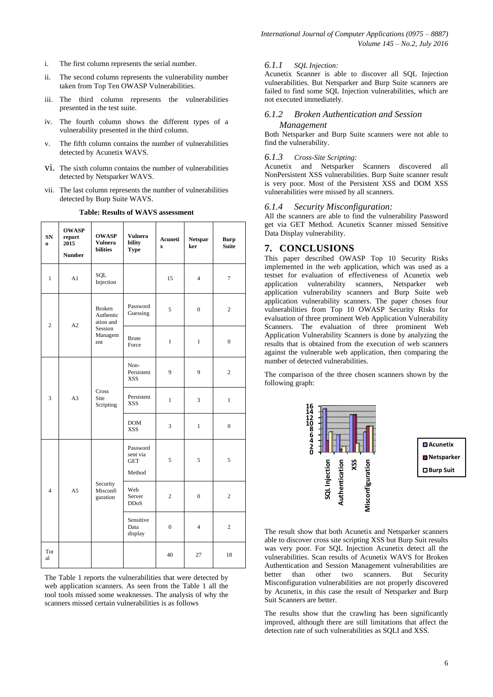- i. The first column represents the serial number.
- ii. The second column represents the vulnerability number taken from Top Ten OWASP Vulnerabilities.
- iii. The third column represents the vulnerabilities presented in the test suite.
- iv. The fourth column shows the different types of a vulnerability presented in the third column.
- v. The fifth column contains the number of vulnerabilities detected by Acunetix WAVS.
- vi. The sixth column contains the number of vulnerabilities detected by Netsparker WAVS.
- vii. The last column represents the number of vulnerabilities detected by Burp Suite WAVS.

|  |  |  |  | Table: Results of WAVS assessment |
|--|--|--|--|-----------------------------------|
|--|--|--|--|-----------------------------------|

| SN<br>$\bf{0}$ | <b>OWASP</b><br>report<br>2015<br><b>Number</b> | <b>OWASP</b><br><b>Vulnera</b><br><b>bilities</b>                    | <b>Vulnera</b><br>bility<br><b>Type</b>      | Acuneti<br>$\mathbf{x}$ | <b>Netspar</b><br>ker | <b>Burp</b><br><b>Suite</b> |
|----------------|-------------------------------------------------|----------------------------------------------------------------------|----------------------------------------------|-------------------------|-----------------------|-----------------------------|
| $\mathbf{1}$   | A1                                              | <b>SOL</b><br>Injection                                              |                                              | 15                      | $\overline{4}$        | $\boldsymbol{7}$            |
| $\overline{c}$ | A2                                              | <b>Broken</b><br>Authentic<br>ation and<br>Session<br>Managem<br>ent | Password<br>Guessing                         | 5                       | $\overline{0}$        | $\overline{c}$              |
|                |                                                 |                                                                      | <b>Brute</b><br>Force                        | $\mathbf{1}$            | $\mathbf{1}$          | $\boldsymbol{0}$            |
| 3              | A <sub>3</sub>                                  | Cross<br>Site<br>Scripting                                           | Non-<br>Persistent<br><b>XSS</b>             | 9                       | 9                     | $\overline{c}$              |
|                |                                                 |                                                                      | Persistent<br><b>XSS</b>                     | $\mathbf{1}$            | 3                     | $\mathbf{1}$                |
|                |                                                 |                                                                      | <b>DOM</b><br><b>XSS</b>                     | 3                       | $\mathbf{1}$          | $\overline{0}$              |
| $\overline{4}$ | A <sub>5</sub>                                  | Security<br>Misconfi<br>guration                                     | Password<br>sent via<br><b>GET</b><br>Method | 5                       | 5                     | 5                           |
|                |                                                 |                                                                      | Web<br>Server<br><b>DDoS</b>                 | $\overline{c}$          | $\boldsymbol{0}$      | $\mathbf{2}$                |
|                |                                                 |                                                                      | Sensitive<br>Data<br>display                 | $\overline{0}$          | $\overline{4}$        | $\overline{c}$              |
| Tot<br>al      |                                                 |                                                                      |                                              | 40                      | 27                    | 18                          |

The Table 1 reports the vulnerabilities that were detected by web application scanners. As seen from the Table 1 all the tool tools missed some weaknesses. The analysis of why the scanners missed certain vulnerabilities is as follows

#### *6.1.1 SQL Injection:*

Acunetix Scanner is able to discover all SQL Injection vulnerabilities. But Netsparker and Burp Suite scanners are failed to find some SQL Injection vulnerabilities, which are not executed immediately.

#### *6.1.2 Broken Authentication and Session*

#### *Management*

Both Netsparker and Burp Suite scanners were not able to find the vulnerability.

#### *6.1.3 Cross-Site Scripting:*

Acunetix and Netsparker Scanners discovered all NonPersistent XSS vulnerabilities. Burp Suite scanner result is very poor. Most of the Persistent XSS and DOM XSS vulnerabilities were missed by all scanners.

#### *6.1.4 Security Misconfiguration:*

All the scanners are able to find the vulnerability Password get via GET Method. Acunetix Scanner missed Sensitive Data Display vulnerability.

### **7. CONCLUSIONS**

This paper described OWASP Top 10 Security Risks implemented in the web application, which was used as a testset for evaluation of effectiveness of Acunetix web application vulnerability scanners, Netsparker web application vulnerability scanners and Burp Suite web application vulnerability scanners. The paper choses four vulnerabilities from Top 10 OWASP Security Risks for evaluation of three prominent Web Application Vulnerability Scanners. The evaluation of three prominent Web Application Vulnerability Scanners is done by analyzing the results that is obtained from the execution of web scanners against the vulnerable web application, then comparing the number of detected vulnerabilities.

The comparison of the three chosen scanners shown by the following graph:



The result show that both Acunetix and Netsparker scanners able to discover cross site scripting XSS but Burp Suit results was very poor. For SQL Injection Acunetix detect all the vulnerabilities. Scan results of Acunetix WAVS for Broken Authentication and Session Management vulnerabilities are better than other two scanners. But Security Misconfiguration vulnerabilities are not properly discovered by Acunetix, in this case the result of Netsparker and Burp Suit Scanners are better.

The results show that the crawling has been significantly improved, although there are still limitations that affect the detection rate of such vulnerabilities as SQLI and XSS.